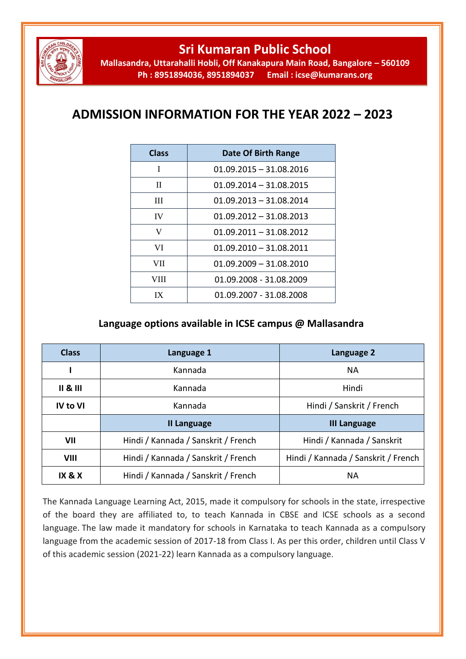

## **Sri Kumaran Public School**

**Mallasandra, Uttarahalli Hobli, Off Kanakapura Main Road, Bangalore – 560109 Ph : 8951894036, 8951894037 Email : icse@kumarans.org**

## **ADMISSION INFORMATION FOR THE YEAR 2022 – 2023**

| <b>Class</b> | Date Of Birth Range       |
|--------------|---------------------------|
| I            | $01.09.2015 - 31.08.2016$ |
| П            | $01.09.2014 - 31.08.2015$ |
| Ш            | $01.09.2013 - 31.08.2014$ |
| <b>IV</b>    | $01.09.2012 - 31.08.2013$ |
| V            | $01.09.2011 - 31.08.2012$ |
| VI           | $01.09.2010 - 31.08.2011$ |
| VII.         | $01.09.2009 - 31.08.2010$ |
| VIII         | 01.09.2008 - 31.08.2009   |
| ГX           | 01.09.2007 - 31.08.2008   |

## **Language options available in ICSE campus @ Mallasandra**

| <b>Class</b>              | Language 1                          | Language 2                          |
|---------------------------|-------------------------------------|-------------------------------------|
|                           | Kannada                             | <b>NA</b>                           |
| $\parallel$ & $\parallel$ | Kannada                             | Hindi                               |
| <b>IV to VI</b>           | Kannada                             | Hindi / Sanskrit / French           |
|                           | <b>II Language</b>                  | <b>III Language</b>                 |
| VII                       | Hindi / Kannada / Sanskrit / French | Hindi / Kannada / Sanskrit          |
| VIII                      | Hindi / Kannada / Sanskrit / French | Hindi / Kannada / Sanskrit / French |
| <b>IX &amp; X</b>         | Hindi / Kannada / Sanskrit / French | ΝA                                  |

The Kannada Language Learning Act, 2015, made it compulsory for schools in the state, irrespective of the board they are affiliated to, to teach Kannada in CBSE and ICSE schools as a second language. The law made it mandatory for schools in Karnataka to teach Kannada as a compulsory language from the academic session of 2017-18 from Class I. As per this order, children until Class V of this academic session (2021-22) learn Kannada as a compulsory language.